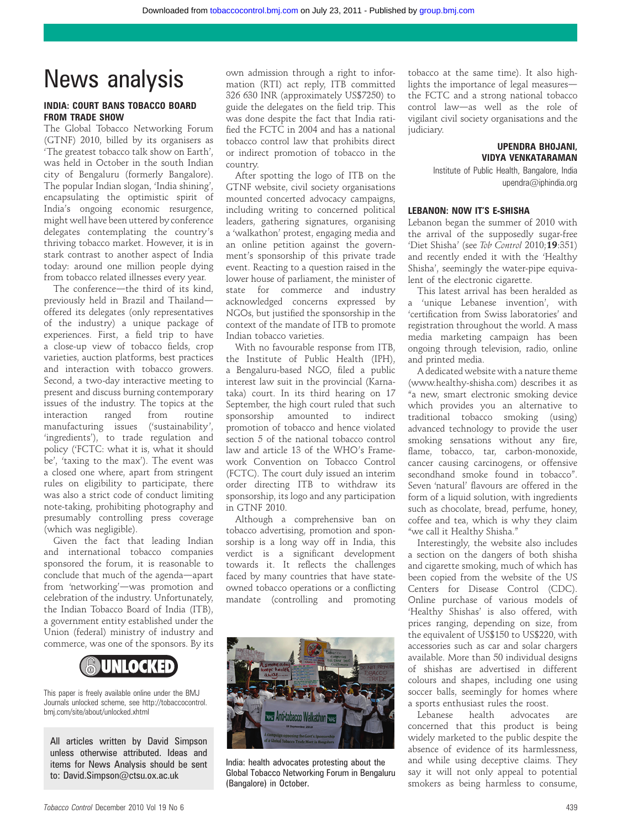# News analysis

# INDIA: COURT BANS TOBACCO BOARD FROM TRADE SHOW

The Global Tobacco Networking Forum (GTNF) 2010, billed by its organisers as 'The greatest tobacco talk show on Earth', was held in October in the south Indian city of Bengaluru (formerly Bangalore). The popular Indian slogan, 'India shining', encapsulating the optimistic spirit of India's ongoing economic resurgence, might well have been uttered by conference delegates contemplating the country's thriving tobacco market. However, it is in stark contrast to another aspect of India today: around one million people dying from tobacco related illnesses every year.

The conference-the third of its kind, previously held in Brazil and Thailandoffered its delegates (only representatives of the industry) a unique package of experiences. First, a field trip to have a close-up view of tobacco fields, crop varieties, auction platforms, best practices and interaction with tobacco growers. Second, a two-day interactive meeting to present and discuss burning contemporary issues of the industry. The topics at the interaction ranged from routine manufacturing issues ('sustainability', 'ingredients'), to trade regulation and policy ('FCTC: what it is, what it should be', 'taxing to the max'). The event was a closed one where, apart from stringent rules on eligibility to participate, there was also a strict code of conduct limiting note-taking, prohibiting photography and presumably controlling press coverage (which was negligible).

Given the fact that leading Indian and international tobacco companies sponsored the forum, it is reasonable to conclude that much of the agenda-apart from 'networking'-was promotion and celebration of the industry. Unfortunately, the Indian Tobacco Board of India (ITB), a government entity established under the Union (federal) ministry of industry and commerce, was one of the sponsors. By its



This paper is freely available online under the BMJ Journals unlocked scheme, see http://tobaccocontrol. bmj.com/site/about/unlocked.xhtml

All articles written by David Simpson unless otherwise attributed. Ideas and items for News Analysis should be sent to: David.Simpson@ctsu.ox.ac.uk

own admission through a right to information (RTI) act reply, ITB committed 326 630 INR (approximately US\$7250) to guide the delegates on the field trip. This was done despite the fact that India ratified the FCTC in 2004 and has a national tobacco control law that prohibits direct or indirect promotion of tobacco in the country.

After spotting the logo of ITB on the GTNF website, civil society organisations mounted concerted advocacy campaigns, including writing to concerned political leaders, gathering signatures, organising a 'walkathon' protest, engaging media and an online petition against the government's sponsorship of this private trade event. Reacting to a question raised in the lower house of parliament, the minister of state for commerce and industry acknowledged concerns expressed by NGOs, but justified the sponsorship in the context of the mandate of ITB to promote Indian tobacco varieties.

With no favourable response from ITB, the Institute of Public Health (IPH), a Bengaluru-based NGO, filed a public interest law suit in the provincial (Karnataka) court. In its third hearing on 17 September, the high court ruled that such sponsorship amounted to indirect promotion of tobacco and hence violated section 5 of the national tobacco control law and article 13 of the WHO's Framework Convention on Tobacco Control (FCTC). The court duly issued an interim order directing ITB to withdraw its sponsorship, its logo and any participation in GTNF 2010.

Although a comprehensive ban on tobacco advertising, promotion and sponsorship is a long way off in India, this verdict is a significant development towards it. It reflects the challenges faced by many countries that have stateowned tobacco operations or a conflicting mandate (controlling and promoting



India: health advocates protesting about the Global Tobacco Networking Forum in Bengaluru (Bangalore) in October.

tobacco at the same time). It also highlights the importance of legal measuresthe FCTC and a strong national tobacco control law-as well as the role of vigilant civil society organisations and the judiciary.

#### UPENDRA BHOJANI, VIDYA VENKATARAMAN

Institute of Public Health, Bangalore, India upendra@iphindia.org

## LEBANON: NOW IT'S E-SHISHA

Lebanon began the summer of 2010 with the arrival of the supposedly sugar-free 'Diet Shisha' (see Tob Control 2010;19:351) and recently ended it with the 'Healthy Shisha', seemingly the water-pipe equivalent of the electronic cigarette.

This latest arrival has been heralded as a 'unique Lebanese invention', with 'certification from Swiss laboratories' and registration throughout the world. A mass media marketing campaign has been ongoing through television, radio, online and printed media.

A dedicated website with a nature theme (www.healthy-shisha.com) describes it as "a new, smart electronic smoking device which provides you an alternative to traditional tobacco smoking (using) advanced technology to provide the user smoking sensations without any fire, flame, tobacco, tar, carbon-monoxide, cancer causing carcinogens, or offensive secondhand smoke found in tobacco". Seven 'natural' flavours are offered in the form of a liquid solution, with ingredients such as chocolate, bread, perfume, honey, coffee and tea, which is why they claim "we call it Healthy Shisha."

Interestingly, the website also includes a section on the dangers of both shisha and cigarette smoking, much of which has been copied from the website of the US Centers for Disease Control (CDC). Online purchase of various models of 'Healthy Shishas' is also offered, with prices ranging, depending on size, from the equivalent of US\$150 to US\$220, with accessories such as car and solar chargers available. More than 50 individual designs of shishas are advertised in different colours and shapes, including one using soccer balls, seemingly for homes where a sports enthusiast rules the roost.

Lebanese health advocates are concerned that this product is being widely marketed to the public despite the absence of evidence of its harmlessness, and while using deceptive claims. They say it will not only appeal to potential smokers as being harmless to consume,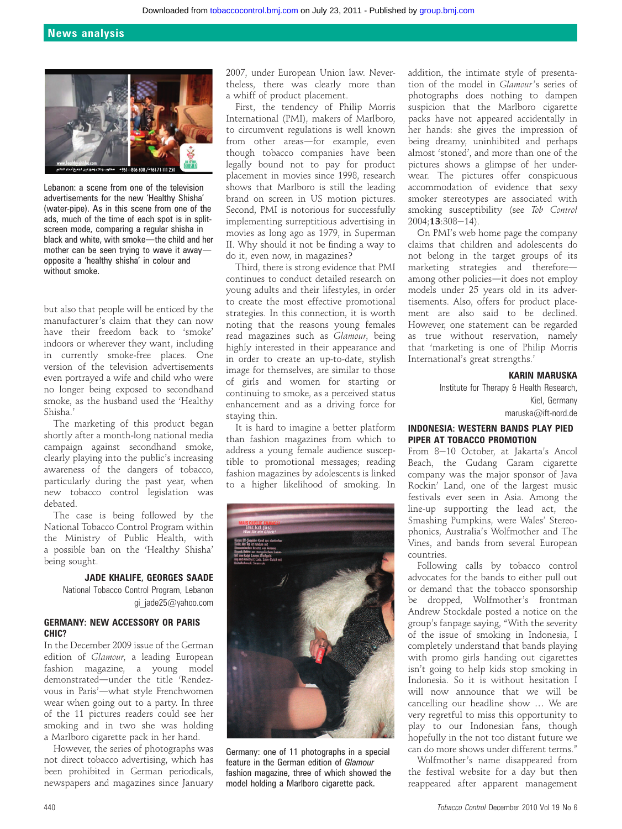

Lebanon: a scene from one of the television advertisements for the new 'Healthy Shisha' (water-pipe). As in this scene from one of the ads, much of the time of each spot is in splitscreen mode, comparing a regular shisha in black and white, with smoke-the child and her mother can be seen trying to wave it awayopposite a 'healthy shisha' in colour and without smoke.

but also that people will be enticed by the manufacturer's claim that they can now have their freedom back to 'smoke' indoors or wherever they want, including in currently smoke-free places. One version of the television advertisements even portrayed a wife and child who were no longer being exposed to secondhand smoke, as the husband used the 'Healthy Shisha.'

The marketing of this product began shortly after a month-long national media campaign against secondhand smoke, clearly playing into the public's increasing awareness of the dangers of tobacco, particularly during the past year, when new tobacco control legislation was debated.

The case is being followed by the National Tobacco Control Program within the Ministry of Public Health, with a possible ban on the 'Healthy Shisha' being sought.

#### JADE KHALIFE, GEORGES SAADE

National Tobacco Control Program, Lebanon gi\_jade25@yahoo.com

## GERMANY: NEW ACCESSORY OR PARIS CHIC?

In the December 2009 issue of the German edition of Glamour, a leading European fashion magazine, a young model demonstrated—under the title 'Rendezvous in Paris'-what style Frenchwomen wear when going out to a party. In three of the 11 pictures readers could see her smoking and in two she was holding a Marlboro cigarette pack in her hand.

However, the series of photographs was not direct tobacco advertising, which has been prohibited in German periodicals, newspapers and magazines since January 2007, under European Union law. Nevertheless, there was clearly more than a whiff of product placement.

First, the tendency of Philip Morris International (PMI), makers of Marlboro, to circumvent regulations is well known from other areas-for example, even though tobacco companies have been legally bound not to pay for product placement in movies since 1998, research shows that Marlboro is still the leading brand on screen in US motion pictures. Second, PMI is notorious for successfully implementing surreptitious advertising in movies as long ago as 1979, in Superman II. Why should it not be finding a way to do it, even now, in magazines?

Third, there is strong evidence that PMI continues to conduct detailed research on young adults and their lifestyles, in order to create the most effective promotional strategies. In this connection, it is worth noting that the reasons young females read magazines such as Glamour, being highly interested in their appearance and in order to create an up-to-date, stylish image for themselves, are similar to those of girls and women for starting or continuing to smoke, as a perceived status enhancement and as a driving force for staying thin.

It is hard to imagine a better platform than fashion magazines from which to address a young female audience susceptible to promotional messages; reading fashion magazines by adolescents is linked to a higher likelihood of smoking. In



Germany: one of 11 photographs in a special feature in the German edition of Glamour fashion magazine, three of which showed the model holding a Marlboro cigarette pack.

addition, the intimate style of presentation of the model in Glamour's series of photographs does nothing to dampen suspicion that the Marlboro cigarette packs have not appeared accidentally in her hands: she gives the impression of being dreamy, uninhibited and perhaps almost 'stoned', and more than one of the pictures shows a glimpse of her underwear. The pictures offer conspicuous accommodation of evidence that sexy smoker stereotypes are associated with smoking susceptibility (see Tob Control  $2004:13:308-14$ ).

On PMI's web home page the company claims that children and adolescents do not belong in the target groups of its marketing strategies and thereforeamong other policies—it does not employ models under 25 years old in its advertisements. Also, offers for product placement are also said to be declined. However, one statement can be regarded as true without reservation, namely that 'marketing is one of Philip Morris International's great strengths.'

#### KARIN MARUSKA

Institute for Therapy & Health Research, Kiel, Germany maruska@ift-nord.de

# INDONESIA: WESTERN BANDS PLAY PIED PIPER AT TOBACCO PROMOTION

From 8-10 October, at Jakarta's Ancol Beach, the Gudang Garam cigarette company was the major sponsor of Java Rockin' Land, one of the largest music festivals ever seen in Asia. Among the line-up supporting the lead act, the Smashing Pumpkins, were Wales' Stereophonics, Australia's Wolfmother and The Vines, and bands from several European countries.

Following calls by tobacco control advocates for the bands to either pull out or demand that the tobacco sponsorship be dropped, Wolfmother's frontman Andrew Stockdale posted a notice on the group's fanpage saying, "With the severity of the issue of smoking in Indonesia, I completely understand that bands playing with promo girls handing out cigarettes isn't going to help kids stop smoking in Indonesia. So it is without hesitation I will now announce that we will be cancelling our headline show ... We are very regretful to miss this opportunity to play to our Indonesian fans, though hopefully in the not too distant future we can do more shows under different terms."

Wolfmother's name disappeared from the festival website for a day but then reappeared after apparent management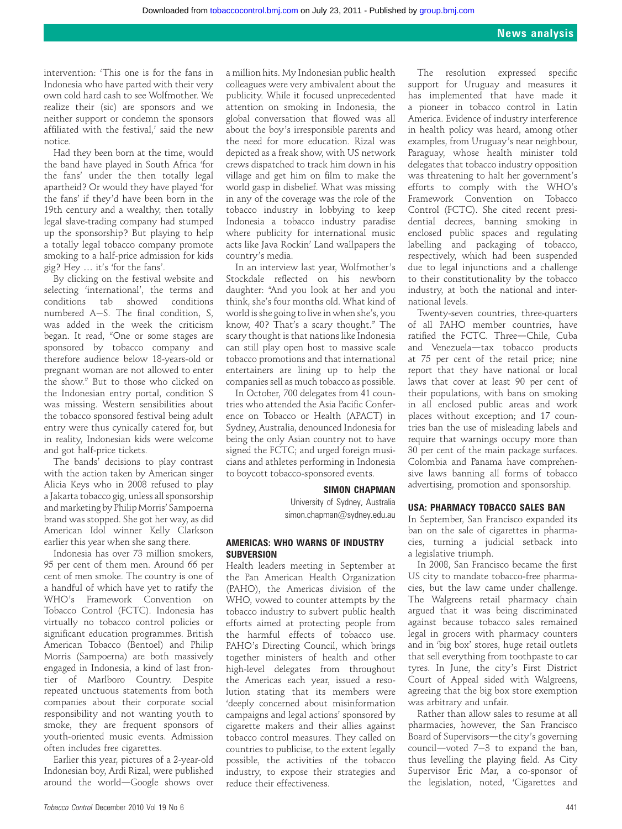intervention: 'This one is for the fans in Indonesia who have parted with their very own cold hard cash to see Wolfmother. We realize their (sic) are sponsors and we neither support or condemn the sponsors affiliated with the festival,' said the new notice.

Had they been born at the time, would the band have played in South Africa 'for the fans' under the then totally legal apartheid? Or would they have played 'for the fans' if they'd have been born in the 19th century and a wealthy, then totally legal slave-trading company had stumped up the sponsorship? But playing to help a totally legal tobacco company promote smoking to a half-price admission for kids gig? Hey . it's 'for the fans'.

By clicking on the festival website and selecting 'international', the terms and conditions tab showed conditions numbered  $A-S$ . The final condition, S, was added in the week the criticism began. It read, "One or some stages are sponsored by tobacco company and therefore audience below 18-years-old or pregnant woman are not allowed to enter the show." But to those who clicked on the Indonesian entry portal, condition S was missing. Western sensibilities about the tobacco sponsored festival being adult entry were thus cynically catered for, but in reality, Indonesian kids were welcome and got half-price tickets.

The bands' decisions to play contrast with the action taken by American singer Alicia Keys who in 2008 refused to play a Jakarta tobacco gig, unless all sponsorship and marketing by Philip Morris' Sampoerna brand was stopped. She got her way, as did American Idol winner Kelly Clarkson earlier this year when she sang there.

Indonesia has over 73 million smokers, 95 per cent of them men. Around 66 per cent of men smoke. The country is one of a handful of which have yet to ratify the WHO's Framework Convention on Tobacco Control (FCTC). Indonesia has virtually no tobacco control policies or significant education programmes. British American Tobacco (Bentoel) and Philip Morris (Sampoerna) are both massively engaged in Indonesia, a kind of last frontier of Marlboro Country. Despite repeated unctuous statements from both companies about their corporate social responsibility and not wanting youth to smoke, they are frequent sponsors of youth-oriented music events. Admission often includes free cigarettes.

Earlier this year, pictures of a 2-year-old Indonesian boy, Ardi Rizal, were published around the world-Google shows over a million hits. My Indonesian public health colleagues were very ambivalent about the publicity. While it focused unprecedented attention on smoking in Indonesia, the global conversation that flowed was all about the boy's irresponsible parents and the need for more education. Rizal was depicted as a freak show, with US network crews dispatched to track him down in his village and get him on film to make the world gasp in disbelief. What was missing in any of the coverage was the role of the tobacco industry in lobbying to keep Indonesia a tobacco industry paradise where publicity for international music acts like Java Rockin' Land wallpapers the country's media.

In an interview last year, Wolfmother's Stockdale reflected on his newborn daughter: "And you look at her and you think, she's four months old. What kind of world is she going to live in when she's, you know, 40? That's a scary thought." The scary thought is that nations like Indonesia can still play open host to massive scale tobacco promotions and that international entertainers are lining up to help the companies sell as much tobacco as possible.

In October, 700 delegates from 41 countries who attended the Asia Pacific Conference on Tobacco or Health (APACT) in Sydney, Australia, denounced Indonesia for being the only Asian country not to have signed the FCTC; and urged foreign musicians and athletes performing in Indonesia to boycott tobacco-sponsored events.

#### SIMON CHAPMAN

University of Sydney, Australia simon.chapman@sydney.edu.au

#### AMERICAS: WHO WARNS OF INDUSTRY **SUBVERSION**

Health leaders meeting in September at the Pan American Health Organization (PAHO), the Americas division of the WHO, vowed to counter attempts by the tobacco industry to subvert public health efforts aimed at protecting people from the harmful effects of tobacco use. PAHO's Directing Council, which brings together ministers of health and other high-level delegates from throughout the Americas each year, issued a resolution stating that its members were 'deeply concerned about misinformation campaigns and legal actions' sponsored by cigarette makers and their allies against tobacco control measures. They called on countries to publicise, to the extent legally possible, the activities of the tobacco industry, to expose their strategies and reduce their effectiveness.

The resolution expressed specific support for Uruguay and measures it has implemented that have made it a pioneer in tobacco control in Latin America. Evidence of industry interference in health policy was heard, among other examples, from Uruguay's near neighbour, Paraguay, whose health minister told delegates that tobacco industry opposition was threatening to halt her government's efforts to comply with the WHO's Framework Convention on Tobacco Control (FCTC). She cited recent presidential decrees, banning smoking in enclosed public spaces and regulating labelling and packaging of tobacco, respectively, which had been suspended due to legal injunctions and a challenge to their constitutionality by the tobacco industry, at both the national and international levels.

Twenty-seven countries, three-quarters of all PAHO member countries, have ratified the FCTC. Three-Chile, Cuba and Venezuela-tax tobacco products at 75 per cent of the retail price; nine report that they have national or local laws that cover at least 90 per cent of their populations, with bans on smoking in all enclosed public areas and work places without exception; and 17 countries ban the use of misleading labels and require that warnings occupy more than 30 per cent of the main package surfaces. Colombia and Panama have comprehensive laws banning all forms of tobacco advertising, promotion and sponsorship.

#### USA: PHARMACY TOBACCO SALES BAN

In September, San Francisco expanded its ban on the sale of cigarettes in pharmacies, turning a judicial setback into a legislative triumph.

In 2008, San Francisco became the first US city to mandate tobacco-free pharmacies, but the law came under challenge. The Walgreens retail pharmacy chain argued that it was being discriminated against because tobacco sales remained legal in grocers with pharmacy counters and in 'big box' stores, huge retail outlets that sell everything from toothpaste to car tyres. In June, the city's First District Court of Appeal sided with Walgreens, agreeing that the big box store exemption was arbitrary and unfair.

Rather than allow sales to resume at all pharmacies, however, the San Francisco Board of Supervisors-the city's governing council-voted  $7-3$  to expand the ban, thus levelling the playing field. As City Supervisor Eric Mar, a co-sponsor of the legislation, noted, 'Cigarettes and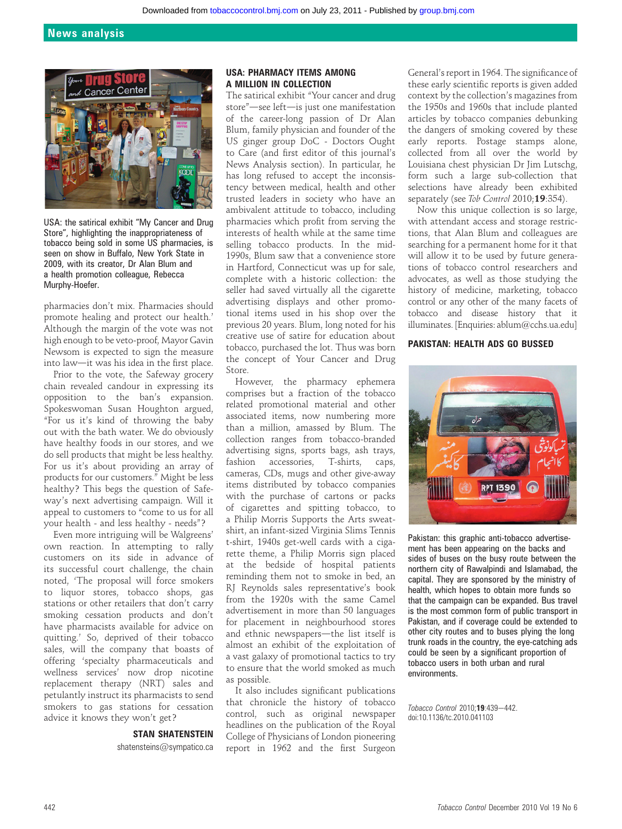# News analysis



USA: the satirical exhibit "My Cancer and Drug Store", highlighting the inappropriateness of tobacco being sold in some US pharmacies, is seen on show in Buffalo, New York State in 2009, with its creator, Dr Alan Blum and a health promotion colleague, Rebecca Murphy-Hoefer.

pharmacies don't mix. Pharmacies should promote healing and protect our health.' Although the margin of the vote was not high enough to be veto-proof, Mayor Gavin Newsom is expected to sign the measure into law-it was his idea in the first place.

Prior to the vote, the Safeway grocery chain revealed candour in expressing its opposition to the ban's expansion. Spokeswoman Susan Houghton argued, "For us it's kind of throwing the baby out with the bath water. We do obviously have healthy foods in our stores, and we do sell products that might be less healthy. For us it's about providing an array of products for our customers." Might be less healthy? This begs the question of Safeway's next advertising campaign. Will it appeal to customers to "come to us for all your health - and less healthy - needs"?

Even more intriguing will be Walgreens' own reaction. In attempting to rally customers on its side in advance of its successful court challenge, the chain noted, 'The proposal will force smokers to liquor stores, tobacco shops, gas stations or other retailers that don't carry smoking cessation products and don't have pharmacists available for advice on quitting.' So, deprived of their tobacco sales, will the company that boasts of offering 'specialty pharmaceuticals and wellness services' now drop nicotine replacement therapy (NRT) sales and petulantly instruct its pharmacists to send smokers to gas stations for cessation advice it knows they won't get?

# STAN SHATENSTEIN

shatensteins@sympatico.ca

# USA: PHARMACY ITEMS AMONG A MILLION IN COLLECTION

The satirical exhibit "Your cancer and drug store"-see left-is just one manifestation of the career-long passion of Dr Alan Blum, family physician and founder of the US ginger group DoC - Doctors Ought to Care (and first editor of this journal's News Analysis section). In particular, he has long refused to accept the inconsistency between medical, health and other trusted leaders in society who have an ambivalent attitude to tobacco, including pharmacies which profit from serving the interests of health while at the same time selling tobacco products. In the mid-1990s, Blum saw that a convenience store in Hartford, Connecticut was up for sale, complete with a historic collection: the seller had saved virtually all the cigarette advertising displays and other promotional items used in his shop over the previous 20 years. Blum, long noted for his creative use of satire for education about tobacco, purchased the lot. Thus was born the concept of Your Cancer and Drug Store.

However, the pharmacy ephemera comprises but a fraction of the tobacco related promotional material and other associated items, now numbering more than a million, amassed by Blum. The collection ranges from tobacco-branded advertising signs, sports bags, ash trays, fashion accessories, T-shirts, caps, cameras, CDs, mugs and other give-away items distributed by tobacco companies with the purchase of cartons or packs of cigarettes and spitting tobacco, to a Philip Morris Supports the Arts sweatshirt, an infant-sized Virginia Slims Tennis t-shirt, 1940s get-well cards with a cigarette theme, a Philip Morris sign placed at the bedside of hospital patients reminding them not to smoke in bed, an RJ Reynolds sales representative's book from the 1920s with the same Camel advertisement in more than 50 languages for placement in neighbourhood stores and ethnic newspapers-the list itself is almost an exhibit of the exploitation of a vast galaxy of promotional tactics to try to ensure that the world smoked as much as possible.

It also includes significant publications that chronicle the history of tobacco control, such as original newspaper headlines on the publication of the Royal College of Physicians of London pioneering report in 1962 and the first Surgeon

General's report in 1964. The significance of these early scientific reports is given added context by the collection's magazines from the 1950s and 1960s that include planted articles by tobacco companies debunking the dangers of smoking covered by these early reports. Postage stamps alone, collected from all over the world by Louisiana chest physician Dr Jim Lutschg, form such a large sub-collection that selections have already been exhibited separately (see Tob Control 2010;19:354).

Now this unique collection is so large, with attendant access and storage restrictions, that Alan Blum and colleagues are searching for a permanent home for it that will allow it to be used by future generations of tobacco control researchers and advocates, as well as those studying the history of medicine, marketing, tobacco control or any other of the many facets of tobacco and disease history that it illuminates. [Enquiries: ablum@cchs.ua.edu]

#### PAKISTAN: HEALTH ADS GO BUSSED



Pakistan: this graphic anti-tobacco advertisement has been appearing on the backs and sides of buses on the busy route between the northern city of Rawalpindi and Islamabad, the capital. They are sponsored by the ministry of health, which hopes to obtain more funds so that the campaign can be expanded. Bus travel is the most common form of public transport in Pakistan, and if coverage could be extended to other city routes and to buses plying the long trunk roads in the country, the eye-catching ads could be seen by a significant proportion of tobacco users in both urban and rural environments.

Tobacco Control 2010:19:439-442. doi:10.1136/tc.2010.041103